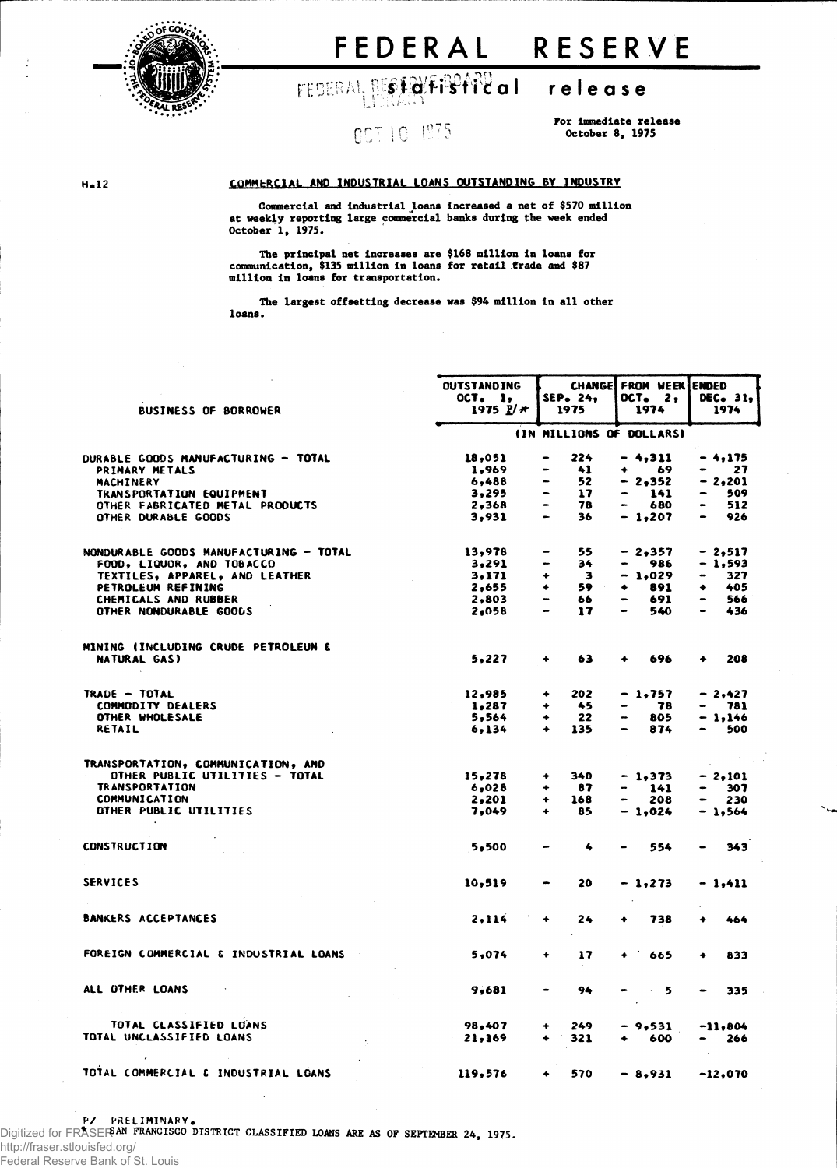

# FEDERAL RESERVE

FEDERAL RESTRIFIBITION release

## nct 10 1975

For immediate release October 8, 1975

## H.12 COMMERCIAL AND INDUSTRIAL LOANS OUTSTANDING BY INDUSTRY

Commercial and industrial loans increased a net of \$570 million at weekly reporting large commercial banks during the week ended October 1, 1975.

The principal net increases are \$168 million in loans for communication, \$135 million in loans for retail trade and \$87 million in loans for transportation.

The largest offsetting decrease was \$94 million in all other loans.

|                                        | <b>OUTSTANDING</b>        | <b>CHANGEI</b><br>SEP. 24.                                                                                                                                         | FROM WEEK ENDED                 |                                     |  |
|----------------------------------------|---------------------------|--------------------------------------------------------------------------------------------------------------------------------------------------------------------|---------------------------------|-------------------------------------|--|
| <b>BUSINESS OF BORROWER</b>            | OCT. 1,<br>1975 $2/\star$ | 1975                                                                                                                                                               | OCT. 2,<br>1974                 | DEC. 31,<br>1974                    |  |
|                                        |                           | (IN MILLIONS OF DOLLARS)                                                                                                                                           |                                 |                                     |  |
| DURABLE GOODS MANUFACTURING - TOTAL    | 18,051                    | 224                                                                                                                                                                | $-4,311$                        | $-4,175$                            |  |
| PRIMARY METALS                         | 1,969                     | 41                                                                                                                                                                 | 69<br>۰                         | 27                                  |  |
| MACHINERY                              | 6,488                     | 52                                                                                                                                                                 | - 2.352                         | - 2.201                             |  |
| TRANSPORTATION EQUIPMENT               | 3,295                     | 17                                                                                                                                                                 | -<br>141                        | 509<br>-                            |  |
| OTHER FABRICATED METAL PRODUCTS        | 2,368                     | $\bullet$<br>78                                                                                                                                                    | 680<br>$\overline{\phantom{m}}$ | 512<br>$\qquad \qquad \blacksquare$ |  |
| OTHER DURABLE GOODS                    | 3,931                     | 36<br>$\sim$                                                                                                                                                       | $-1,207$                        | 926<br>$\bullet$                    |  |
| NONDURABLE GOODS MANUFACTURING - TOTAL | 13,978                    | 55                                                                                                                                                                 | $-2,357$                        | $-2,517$                            |  |
| FOOD, LIQUOR, AND TOBACCO              | 3,291                     | 34                                                                                                                                                                 | 986                             | - 1,593                             |  |
| TEXTILES, APPAREL, AND LEATHER         | 3,171                     | з<br>٠                                                                                                                                                             | - 1,029                         | 327<br>-                            |  |
| PETROLEUM REFINING                     | 2,655                     | 59<br>۰                                                                                                                                                            | 891<br>۰                        | 405<br>٠                            |  |
| CHEMICALS AND RUBBER                   | 2,803                     | 66<br>$\hskip1.6pt\hskip1.6pt\hskip1.6pt\hskip1.6pt\hskip1.6pt\hskip1.6pt\hskip1.6pt\hskip1.6pt\hskip1.6pt\hskip1.6pt\hskip1.6pt\hskip1.6pt\hskip1.6pt\hskip1.6pt$ | 691<br>-                        | 566<br>$\overline{\phantom{0}}$     |  |
| OTHER NONDURABLE GOODS                 | 2,058                     | 17                                                                                                                                                                 | 540                             | 436                                 |  |
| MINING (INCLUDING CRUDE PETROLEUM &    |                           |                                                                                                                                                                    |                                 |                                     |  |
| NATURAL GAS)                           | 5,227                     | 63<br>$\ddotmark$                                                                                                                                                  | 696<br>٠                        | 208<br>۰                            |  |
| TRADE - TOTAL                          | 12,985                    | 202<br>۰                                                                                                                                                           | - 1,757                         | - 2,427                             |  |
| <b>COMMODITY DEALERS</b>               | 1,287                     | 45                                                                                                                                                                 | 78                              | 781                                 |  |
| OTHER WHOLESALE                        | 5,564                     | 22<br>۰                                                                                                                                                            | 805                             | - 1.146                             |  |
| <b>RETAIL</b>                          | 6,134                     | 135<br>۰                                                                                                                                                           | 874                             | 500                                 |  |
| TRANSPORTATION, COMMUNICATION, AND     |                           |                                                                                                                                                                    |                                 |                                     |  |
| OTHER PUBLIC UTILITIES - TOTAL         | 15,278                    | 340<br>۰                                                                                                                                                           | $-1,373$                        | $-2,101$                            |  |
| <b>TRANSPORTATION</b>                  | 6,028                     | 87<br>۰                                                                                                                                                            | 141                             | 307                                 |  |
| <b>COMMUNICATION</b>                   | 2,201                     | 168<br>٠                                                                                                                                                           | 208<br>$\overline{\phantom{0}}$ | 230<br>$\bullet$                    |  |
| OTHER PUBLIC UTILITIES                 | 7,049                     | ٠<br>85                                                                                                                                                            | $-1,024$                        | $-1,564$                            |  |
| <b>CONSTRUCTION</b>                    | 5.500                     | 4                                                                                                                                                                  | 554                             | 343                                 |  |
| <b>SERVICES</b>                        | 10,519                    | 20<br>$\bullet$                                                                                                                                                    | - 1,273                         | - 1,411                             |  |
| <b>BANKERS ACCEPTANCES</b>             | 2,114                     | $\bullet$<br>24                                                                                                                                                    | 738                             | 464                                 |  |
| FOREIGN COMMERCIAL & INDUSTRIAL LOANS  | 5,074                     | 17<br>٠                                                                                                                                                            | 665<br>٠                        | 833<br>٠                            |  |
| ALL OTHER LOANS                        | 9,681                     | 94                                                                                                                                                                 | $-5$                            | 335<br>$\bullet$                    |  |
| TOTAL CLASSIFIED LOANS                 | 98,407                    | 249<br>۰                                                                                                                                                           | - 9,531                         | $-11,804$                           |  |
| TOTAL UNCLASSIFIED LOANS               | 21,169                    | 321<br>۰                                                                                                                                                           | 600<br>۰                        | 266<br>$\bullet$                    |  |
| TOTAL COMMERCIAL & INDUSTRIAL LOANS    | 119,576                   | 570<br>٠                                                                                                                                                           | $-8,931$                        | -12,070                             |  |

Federal Reserve Bank of St. Louis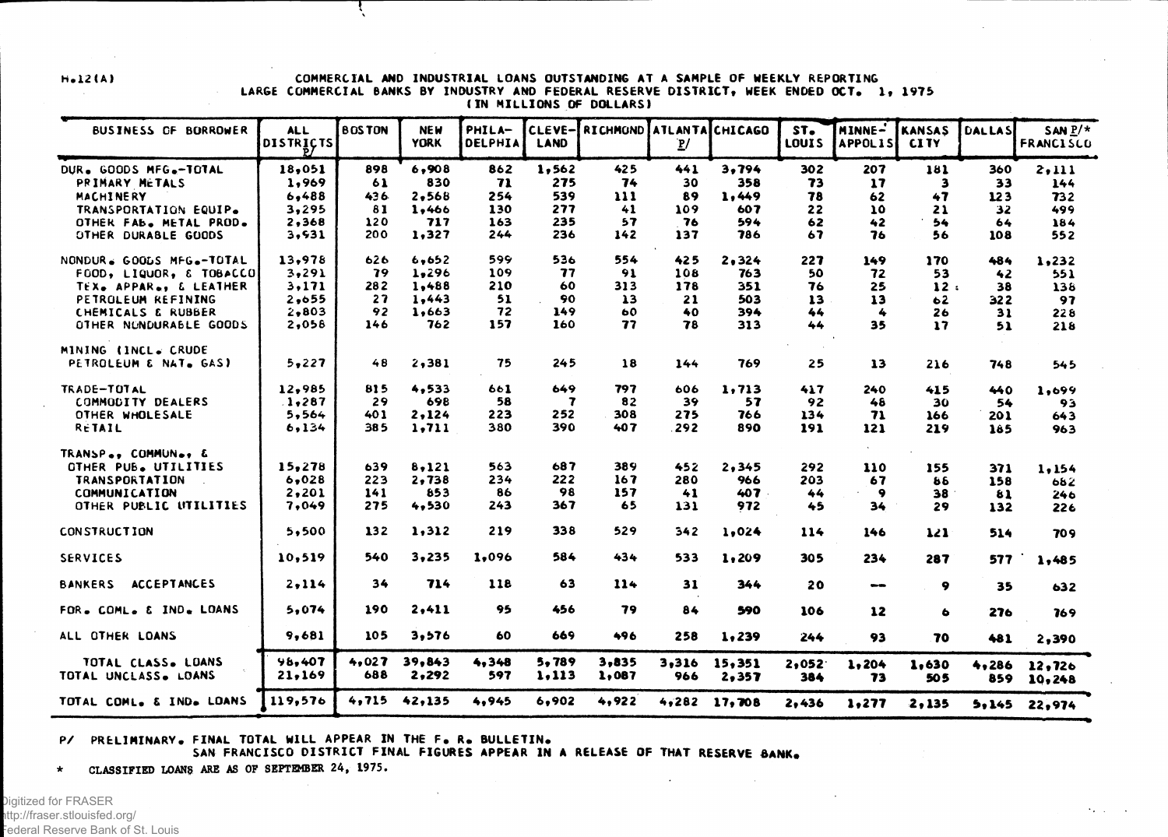#### H.12(A) COMMERCIAL AND INDUSTRIAL LOANS OUTSTANDING AT A SAMPLE OF WEEKLY REPORTING LARGE COMMERCIAL BANKS BY INDUSTRY AND FEDERAL RESERVE DISTRICT, WEEK ENDED OCT. 1, 1975 ( IN MILLIONS OF DOLLARS)

| BUSINESS OF BORROWER                       | <b>ALL</b><br>DISTRICTS | <b>BOSTON</b> | <b>NEW</b><br><b>YORK</b> | PHILA-<br>DELPHIA | CLEVE-<br><b>LAND</b> | RICHMOND ATLANTA CHICAGO | $\mathbf{P}$ |                 | ST.<br>LOUIS | MINNE-<br><b>APPOLIS</b> | <b>KANSAS</b><br><b>CITY</b> | <b>DALLAS</b> | $SAN P/*$<br><b>FRANCISCO</b> |
|--------------------------------------------|-------------------------|---------------|---------------------------|-------------------|-----------------------|--------------------------|--------------|-----------------|--------------|--------------------------|------------------------------|---------------|-------------------------------|
| DUR. GOODS MFG.-TOTAL                      | 18,051                  | 898           | 6,908                     | 862               | 1,562                 | 425                      | 441          | 3,794           | 302          | 207                      | 181                          | 360           | 2.111                         |
| PRIMARY METALS                             | 1,969                   | 61            | 830                       | 71                | 275                   | 74                       | 30           | 358             | 73           | 17                       | з                            | 33            | 144                           |
| MACHINERY                                  | 6,488                   | 436           | 2,568                     | 254               | 539                   | $\blacksquare$           | 89           | 1,449           | 78           | 62                       | 47                           | 123           | 732                           |
| TRANSPORTATION EQUIP.                      | 3,295                   | 81            | 1,466                     | 130               | 277                   | 41                       | 109          | 607             | 22           | 10                       | 21                           | 32            | 499                           |
| OTHER FAB. METAL PROD.                     | 2,368                   | 120           | 717                       | 163               | 235                   | 57                       | 76           | 594             | 62           | 42                       | 54                           | 64            | 184                           |
| OTHER DURABLE GOODS                        | 3,531                   | 200           | 1,327                     | 244               | 236                   | 142                      | 137          | 786             | 67           | 76                       | 56                           | 108           | 552                           |
| NONDUR. GOODS MFG.-TOTAL                   | 13,978                  | 626           | 6,652                     | 599               | 536                   | 554                      | 425          | 2,324           | 227          | 149                      | 170                          | 484           | 1,232                         |
| FOOD, LIQUOR, & TOBACCO                    | 3,291                   | 79            | 1,296                     | 109               | 77                    | 91                       | 108          | 763             | 50           | 72                       | 53                           | 42            | 551                           |
| TEX. APPAR., & LEATHER                     | 3,171                   | 282           | 1,488                     | 210               | 60                    | 313                      | 178          | 351             | 76           | 25                       | 12:                          | 38            | 138                           |
| PETROLEUM REFINING                         | 2,655                   | 27            | 1,443                     | 51                | 90                    | $\lambda$ 3              | 21           | 503             | 13           | 13                       | 62                           | 322           | 97                            |
| CHEMICALS & RUBBER                         | 2,803                   | 92            | 1,663                     | 72                | 149                   | 60                       | 40           | 394             | 44           | 4                        | 26                           | 31            | 228                           |
| OTHER NUNDURABLE GOODS                     | 2,058                   | 146           | 762                       | 157               | 160                   | 77                       | 78           | 313             | 44           | 35                       | $\mathbf{17}$                | 51            | 218                           |
| MINING (INCL. CRUDE                        |                         |               |                           |                   |                       |                          |              |                 |              |                          |                              |               |                               |
| PETROLEUM & NAT. GAS)                      | 5,227                   | 48            | 2,381                     | 75                | 245                   | 18                       | 144          | 769             | 25           | 13                       | 216                          | 748           | 545                           |
| TRADE-TOTAL                                | 12,985                  | 815           | 4,533                     | 661               | 649                   | 797                      | 606          | 1,713           | 417          | 240                      | 415                          | 440           | 1,699                         |
| COMMODITY DEALERS                          | 1,287                   | 29            | 698                       | 58                | $\overline{7}$        | 82                       | 39           | 57              | 92           | 48                       | 30                           | 54            | 93                            |
| OTHER WHOLESALE                            | 5,564                   | 401           | 2,124                     | 223               | 252                   | 308                      | 275          | 766             | 134          | 71                       | 166                          | 201           | 643                           |
| RETAIL                                     | 6,134                   | 385           | 1,711                     | 380               | 390                   | 407                      | 292          | 890             | 191          | 121                      | 219                          | 185           | 963                           |
| TRANSP., COMMUN., &                        |                         |               |                           |                   |                       |                          |              |                 |              |                          |                              |               |                               |
| OTHER PUB. UTILITIES                       | 15,278                  | 639           | 8,121                     | 563               | 687                   | 389                      | 452          | 2, 345          | 292          | 110                      | 155                          | 371           | 1,154                         |
| <b>TRANSPORTATION</b>                      | 6,028                   | 223           | 2,738                     | 234               | 222                   | 167                      | 280          | 966             | 203          | 67                       | 86                           | 158           | 682                           |
| <b>COMMUNICATION</b>                       | 2,201                   | 141           | 853                       | 86                | 98                    | 157                      | 41           | 407             | 44           | -9                       | 38                           | 81            | 246                           |
| OTHER PUBLIC UTILITIES                     | 7,049                   | 275           | 4,530                     | 243               | 367                   | 65                       | 131          | 972             | 45           | 34                       | 29                           | 132           | 226                           |
| <b>CONSTRUCTION</b>                        | 5,500                   | 132           | 1,312                     | 219               | 338                   | 529                      | 342          | 1.024           | 114          | 146                      | 121                          | 514           | 709                           |
| <b>SERVICES</b>                            | 10,519                  | 540           | 3,235                     | 1.096             | 584                   | 434                      | 533          | 1,209           | 305          | 234                      | 287                          | 577           | 1,485                         |
| <b>ACCEPTANCES</b><br><b>BANKERS</b>       | 2,114                   | 34            | 714                       | 118               | 63                    | 114                      | 31           | 344             | 20           | $\blacksquare$           | 9                            | 35            | 632                           |
| FOR. COML. & IND. LOANS                    | 5,074                   | 190           | 2,411                     | 95                | 456                   | 79                       | 84           | 590             | 106          | 12                       | ۰                            | 276           | 769                           |
| ALL OTHER LOANS                            | 9,681                   | 105           | 3,576                     | 60                | 669                   | 496                      | 258          | 1,239           | 244          | 93                       | 70                           | 481           | 2,390                         |
| TOTAL CLASS. LOANS<br>TOTAL UNCLASS. LOANS | 98,407<br>21,169        | 4,027<br>688  | 39,843<br>2,292           | 4,348<br>597      | 5,789<br>1,113        | 3,835<br>1,087           | 3,316<br>966 | 15,351<br>2,357 | 2,052<br>384 | 1,204<br>73              | 1,630<br>505                 | 4,286<br>859  | 12,726<br>10,248              |
| TOTAL COML. & IND. LOANS                   | 119,576                 | 4,715         | 42,135                    | 4.945             | 6,902                 | 4,922                    |              | $4,282$ 17,708  | 2,436        | 1,277                    | 2,135                        |               | $5,145$ 22,974                |

**San Co** 

#### P/ PRELIMINARY. FINAL TOTAL WILL APPEAR IN THE F. R. BULLETIN.

SAN FRANCISCO DISTRICT FINAL FIGURES APPEAR IN A RELEASE OF THAT RESERVE BANK.

\* CLASSIFIED LOANS ARB AS OF SEPTEMBER 24, 1975.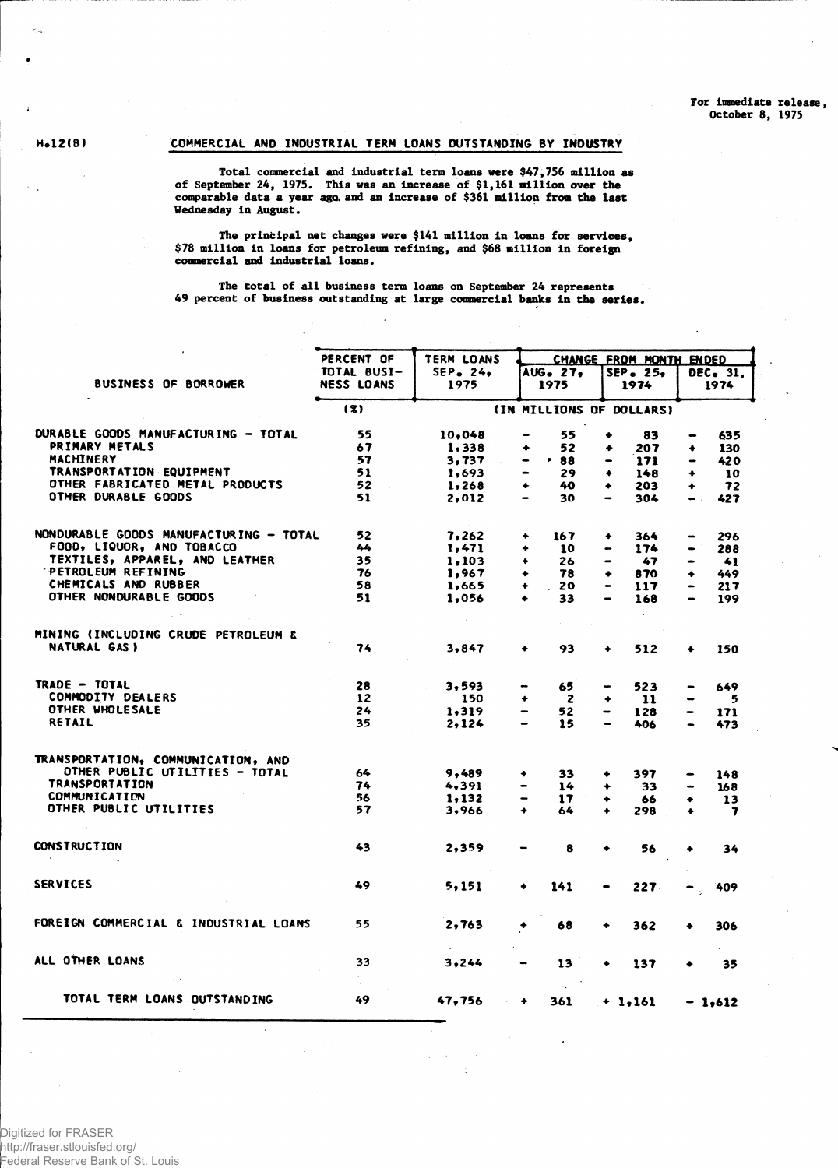## H.12CB) COMMERCIAL AND INDUSTRIAL TERM LOANS OUTSTANDING BY INDUSTRY

Total commercial and industrial term loans were \$47,756 million as of September 24, 1975. This was an increase of \$1,161 million over the comparable data a year ago, and an increase of \$361 million from the last Wednesday In August.

The principal net changes were \$141 million in loans for services, \$78 million in loans for petroleum refining, and \$68 million in foreign commercial and industrial loans.

The total of all business term loans on September 24 represents 49 percent of business outstanding at large commercial banks in the series.

|                                        | PERCENT OF        | TERM LOANS  |                                     | CHANGE FROM MONTH ENDED         |                                     |  |
|----------------------------------------|-------------------|-------------|-------------------------------------|---------------------------------|-------------------------------------|--|
|                                        | TOTAL BUSI-       | $SEP$ . 24, | AUG. 27.                            | SEP. 25.                        | DEC. 31,                            |  |
| <b>BUSINESS OF BORROWER</b>            | <b>NESS LOANS</b> | 1975        | 1975                                | 1974                            | 1974                                |  |
|                                        | (3)               |             | (IN MILLIONS OF DOLLARS)            |                                 |                                     |  |
| DURABLE GOODS MANUFACTURING - TOTAL    | 55                | 10,048      | 55<br>$\bullet$                     | ۰<br>83                         | 635<br>$\qquad \qquad$              |  |
| PRIMARY METALS                         | 67                | 1,338       | 52<br>۰                             | 207<br>۰                        | 130<br>٠                            |  |
| MACHINERY                              | 57                | 3,737       | .88<br>$\qquad \qquad \blacksquare$ | 171<br>-                        | $\qquad \qquad \blacksquare$<br>420 |  |
| TRANSPORTATION EQUIPMENT               | 51                | 1,693       | 29                                  | 148<br>۰                        | 10<br>۰                             |  |
| OTHER FABRICATED METAL PRODUCTS        | 52                | 1,268       | 40<br>٠                             | 203<br>۰                        | 72<br>$\ddotmark$                   |  |
| OTHER DURABLE GOODS                    | 51                | 2,012       | 30<br>$\overline{\phantom{0}}$      | 304                             | 427<br>$\bullet$ .                  |  |
| NONDURABLE GOODS MANUFACTURING - TOTAL | 52                | 7,262       | 167<br>٠                            | 364<br>۰                        | 296                                 |  |
| FOOD, LIQUOR, AND TOBACCO              | 44                | 1,471       | ٠<br>10                             | 174<br>$\bullet$                | 288<br>$\qquad \qquad \blacksquare$ |  |
| TEXTILES, APPAREL, AND LEATHER         | 35                | 1,103       | 26<br>۰                             | 47                              | 41                                  |  |
| <b>PETROLEUM REFINING</b>              | 76                | 1,967       | 78<br>۰                             | 870<br>٠                        | 449<br>۰                            |  |
| CHEMICALS AND RUBBER                   | 58                | 1,665       | 20<br>٠                             | 117                             | $\bullet$<br>217                    |  |
| OTHER NONDURABLE GOODS                 | 51                | 1,056       | 33<br>$\ddotmark$                   | 168                             | 199<br>$\bullet$                    |  |
| MINING (INCLUDING CRUDE PETROLEUM &    |                   |             | $\mathcal{L}^{\mathcal{L}}$         |                                 |                                     |  |
| <b>NATURAL GAS)</b>                    | 74                | 3.847       | 93<br>۰                             | 512<br>٠                        | 150<br>۰                            |  |
| TRADE - TOTAL                          | 28                | 3,593       | 65                                  | 523                             | 649                                 |  |
| <b>COMMODITY DEALERS</b>               | 12                | 150         | $\overline{2}$<br>۰                 | $\mathbf{11}$<br>٠              | 5                                   |  |
| OTHER WHOLESALE                        | 24                | 1,319       | 52                                  | 128<br>$\overline{\phantom{m}}$ | 171<br>$\bullet$                    |  |
| <b>RETAIL</b>                          | 35                | 2,124       | 15                                  | 406                             | 473                                 |  |
| TRANSPORTATION, COMMUNICATION, AND     |                   |             |                                     |                                 |                                     |  |
| OTHER PUBLIC UTILITIES - TOTAL         | 64                | 9,489       | 33<br>٠                             | 397<br>۰                        | 148                                 |  |
| <b>TRANSPORTATION</b>                  | 74                | 4,391       | 14                                  | 33<br>۰                         | 168                                 |  |
| COMMUNICATION                          | 56                | 1,132       | 17<br>-                             | 66<br>٠                         | 13<br>٠                             |  |
| OTHER PUBLIC UTILITIES                 | 57                | 3,966       | ٠<br>64                             | 298                             | $\overline{\mathbf{r}}$<br>۰        |  |
| <b>CONSTRUCTION</b><br>$\cdot$         | 43                | 2,359       | 8                                   | 56<br>۰                         | 34                                  |  |
| <b>SERVICES</b>                        | 49                | 5,151       | 141<br>۰                            | 227                             | 409<br>$\bullet$                    |  |
|                                        |                   |             |                                     |                                 |                                     |  |
| FOREIGN COMMERCIAL & INDUSTRIAL LOANS  | 55                | 2,763       | 68<br>$\ddotmark$                   | 362<br>۰                        | 306                                 |  |
| ALL OTHER LOANS                        | 33                | 3,244       | 13<br>$\blacksquare$                | 137<br>۰                        | 35                                  |  |
| TOTAL TERM LOANS OUTSTANDING           | 49                | 47,756      | 361<br>$\bullet$                    | $+ 1.161$                       | $-1,612$                            |  |

Digitized for FRASER http://fraser.stlouisfed.org/ Federal Reserve Bank of St. Louis